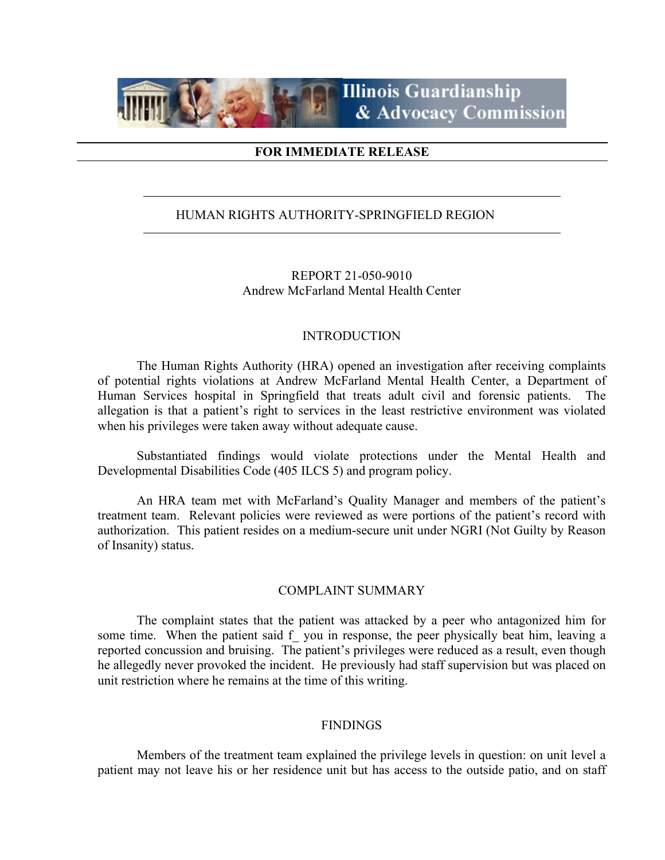

### **FOR IMMEDIATE RELEASE**

## HUMAN RIGHTS AUTHORITY-SPRINGFIELD REGION

REPORT 21-050-9010 Andrew McFarland Mental Health Center

#### INTRODUCTION

The Human Rights Authority (HRA) opened an investigation after receiving complaints of potential rights violations at Andrew McFarland Mental Health Center, a Department of Human Services hospital in Springfield that treats adult civil and forensic patients. The allegation is that a patient's right to services in the least restrictive environment was violated when his privileges were taken away without adequate cause.

Substantiated findings would violate protections under the Mental Health and Developmental Disabilities Code (405 ILCS 5) and program policy.

An HRA team met with McFarland's Quality Manager and members of the patient's treatment team. Relevant policies were reviewed as were portions of the patient's record with authorization. This patient resides on a medium-secure unit under NGRI (Not Guilty by Reason of Insanity) status.

#### COMPLAINT SUMMARY

The complaint states that the patient was attacked by a peer who antagonized him for some time. When the patient said f you in response, the peer physically beat him, leaving a reported concussion and bruising. The patient's privileges were reduced as a result, even though he allegedly never provoked the incident. He previously had staff supervision but was placed on unit restriction where he remains at the time of this writing.

#### FINDINGS

Members of the treatment team explained the privilege levels in question: on unit level a patient may not leave his or her residence unit but has access to the outside patio, and on staff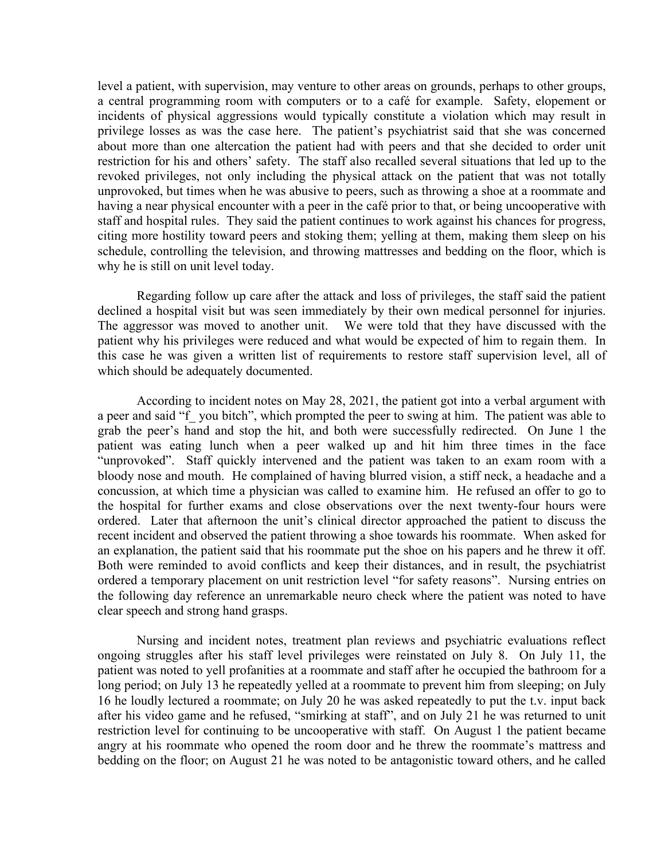level a patient, with supervision, may venture to other areas on grounds, perhaps to other groups, a central programming room with computers or to a café for example. Safety, elopement or incidents of physical aggressions would typically constitute a violation which may result in privilege losses as was the case here. The patient's psychiatrist said that she was concerned about more than one altercation the patient had with peers and that she decided to order unit restriction for his and others' safety. The staff also recalled several situations that led up to the revoked privileges, not only including the physical attack on the patient that was not totally unprovoked, but times when he was abusive to peers, such as throwing a shoe at a roommate and having a near physical encounter with a peer in the café prior to that, or being uncooperative with staff and hospital rules. They said the patient continues to work against his chances for progress, citing more hostility toward peers and stoking them; yelling at them, making them sleep on his schedule, controlling the television, and throwing mattresses and bedding on the floor, which is why he is still on unit level today.

Regarding follow up care after the attack and loss of privileges, the staff said the patient declined a hospital visit but was seen immediately by their own medical personnel for injuries. The aggressor was moved to another unit. We were told that they have discussed with the patient why his privileges were reduced and what would be expected of him to regain them. In this case he was given a written list of requirements to restore staff supervision level, all of which should be adequately documented.

According to incident notes on May 28, 2021, the patient got into a verbal argument with a peer and said "f\_ you bitch", which prompted the peer to swing at him. The patient was able to grab the peer's hand and stop the hit, and both were successfully redirected. On June 1 the patient was eating lunch when a peer walked up and hit him three times in the face "unprovoked". Staff quickly intervened and the patient was taken to an exam room with a bloody nose and mouth. He complained of having blurred vision, a stiff neck, a headache and a concussion, at which time a physician was called to examine him. He refused an offer to go to the hospital for further exams and close observations over the next twenty-four hours were ordered. Later that afternoon the unit's clinical director approached the patient to discuss the recent incident and observed the patient throwing a shoe towards his roommate. When asked for an explanation, the patient said that his roommate put the shoe on his papers and he threw it off. Both were reminded to avoid conflicts and keep their distances, and in result, the psychiatrist ordered a temporary placement on unit restriction level "for safety reasons". Nursing entries on the following day reference an unremarkable neuro check where the patient was noted to have clear speech and strong hand grasps.

Nursing and incident notes, treatment plan reviews and psychiatric evaluations reflect ongoing struggles after his staff level privileges were reinstated on July 8. On July 11, the patient was noted to yell profanities at a roommate and staff after he occupied the bathroom for a long period; on July 13 he repeatedly yelled at a roommate to prevent him from sleeping; on July 16 he loudly lectured a roommate; on July 20 he was asked repeatedly to put the t.v. input back after his video game and he refused, "smirking at staff", and on July 21 he was returned to unit restriction level for continuing to be uncooperative with staff. On August 1 the patient became angry at his roommate who opened the room door and he threw the roommate's mattress and bedding on the floor; on August 21 he was noted to be antagonistic toward others, and he called